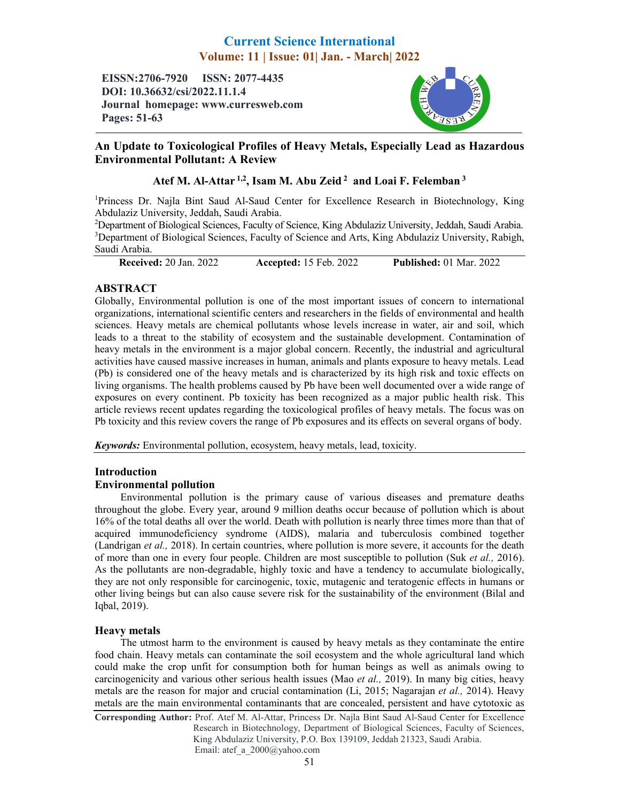# Current Science International Volume: 11 | Issue: 01| Jan. - March| 2022

EISSN:2706-7920 ISSN: 2077-4435 DOI: 10.36632/csi/2022.11.1.4 Journal homepage: www.curresweb.com Pages: 51-63



# An Update to Toxicological Profiles of Heavy Metals, Especially Lead as Hazardous Environmental Pollutant: A Review

# Atef M. Al-Attar<sup>1,2</sup>, Isam M. Abu Zeid<sup>2</sup> and Loai F. Felemban<sup>3</sup>

<sup>1</sup>Princess Dr. Najla Bint Saud Al-Saud Center for Excellence Research in Biotechnology, King Abdulaziz University, Jeddah, Saudi Arabia.

<sup>2</sup>Department of Biological Sciences, Faculty of Science, King Abdulaziz University, Jeddah, Saudi Arabia. <sup>3</sup>Department of Biological Sciences, Faculty of Science and Arts, King Abdulaziz University, Rabigh, Saudi Arabia.

Received: 20 Jan. 2022 Accepted: 15 Feb. 2022 Published: 01 Mar. 2022

# ABSTRACT

Globally, Environmental pollution is one of the most important issues of concern to international organizations, international scientific centers and researchers in the fields of environmental and health sciences. Heavy metals are chemical pollutants whose levels increase in water, air and soil, which leads to a threat to the stability of ecosystem and the sustainable development. Contamination of heavy metals in the environment is a major global concern. Recently, the industrial and agricultural activities have caused massive increases in human, animals and plants exposure to heavy metals. Lead (Pb) is considered one of the heavy metals and is characterized by its high risk and toxic effects on living organisms. The health problems caused by Pb have been well documented over a wide range of exposures on every continent. Pb toxicity has been recognized as a major public health risk. This article reviews recent updates regarding the toxicological profiles of heavy metals. The focus was on Pb toxicity and this review covers the range of Pb exposures and its effects on several organs of body.

*Keywords:* Environmental pollution, ecosystem, heavy metals, lead, toxicity.

# Introduction

# Environmental pollution

Environmental pollution is the primary cause of various diseases and premature deaths throughout the globe. Every year, around 9 million deaths occur because of pollution which is about 16% of the total deaths all over the world. Death with pollution is nearly three times more than that of acquired immunodeficiency syndrome (AIDS), malaria and tuberculosis combined together (Landrigan *et al.,* 2018). In certain countries, where pollution is more severe, it accounts for the death of more than one in every four people. Children are most susceptible to pollution (Suk *et al.,* 2016). As the pollutants are non-degradable, highly toxic and have a tendency to accumulate biologically, they are not only responsible for carcinogenic, toxic, mutagenic and teratogenic effects in humans or other living beings but can also cause severe risk for the sustainability of the environment (Bilal and Iqbal, 2019).

# Heavy metals

The utmost harm to the environment is caused by heavy metals as they contaminate the entire food chain. Heavy metals can contaminate the soil ecosystem and the whole agricultural land which could make the crop unfit for consumption both for human beings as well as animals owing to carcinogenicity and various other serious health issues (Mao *et al.,* 2019). In many big cities, heavy metals are the reason for major and crucial contamination (Li, 2015; Nagarajan *et al.,* 2014). Heavy metals are the main environmental contaminants that are concealed, persistent and have cytotoxic as

Corresponding Author: Prof. Atef M. Al-Attar, Princess Dr. Najla Bint Saud Al-Saud Center for Excellence Research in Biotechnology, Department of Biological Sciences, Faculty of Sciences, King Abdulaziz University, P.O. Box 139109, Jeddah 21323, Saudi Arabia. Email: atef\_a\_2000@yahoo.com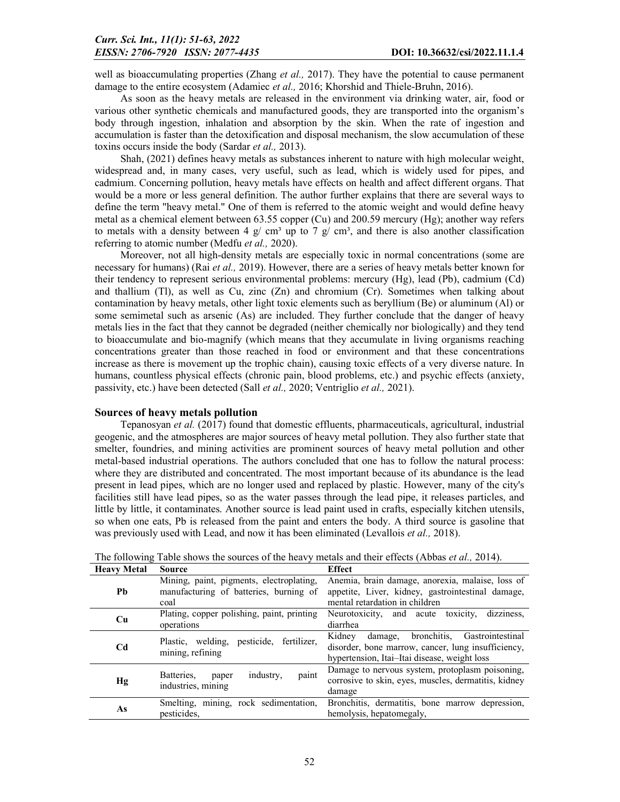well as bioaccumulating properties (Zhang *et al.,* 2017). They have the potential to cause permanent damage to the entire ecosystem (Adamiec *et al.,* 2016; Khorshid and Thiele-Bruhn, 2016).

As soon as the heavy metals are released in the environment via drinking water, air, food or various other synthetic chemicals and manufactured goods, they are transported into the organism's body through ingestion, inhalation and absorption by the skin. When the rate of ingestion and accumulation is faster than the detoxification and disposal mechanism, the slow accumulation of these toxins occurs inside the body (Sardar *et al.,* 2013).

Shah, (2021) defines heavy metals as substances inherent to nature with high molecular weight, widespread and, in many cases, very useful, such as lead, which is widely used for pipes, and cadmium. Concerning pollution, heavy metals have effects on health and affect different organs. That would be a more or less general definition. The author further explains that there are several ways to define the term "heavy metal." One of them is referred to the atomic weight and would define heavy metal as a chemical element between 63.55 copper (Cu) and 200.59 mercury (Hg); another way refers to metals with a density between 4 g/ cm<sup>3</sup> up to 7 g/ cm<sup>3</sup>, and there is also another classification referring to atomic number (Medfu *et al.,* 2020).

Moreover, not all high-density metals are especially toxic in normal concentrations (some are necessary for humans) (Rai *et al.,* 2019). However, there are a series of heavy metals better known for their tendency to represent serious environmental problems: mercury (Hg), lead (Pb), cadmium (Cd) and thallium (Tl), as well as Cu, zinc (Zn) and chromium (Cr). Sometimes when talking about contamination by heavy metals, other light toxic elements such as beryllium (Be) or aluminum (Al) or some semimetal such as arsenic (As) are included. They further conclude that the danger of heavy metals lies in the fact that they cannot be degraded (neither chemically nor biologically) and they tend to bioaccumulate and bio-magnify (which means that they accumulate in living organisms reaching concentrations greater than those reached in food or environment and that these concentrations increase as there is movement up the trophic chain), causing toxic effects of a very diverse nature. In humans, countless physical effects (chronic pain, blood problems, etc.) and psychic effects (anxiety, passivity, etc.) have been detected (Sall *et al.,* 2020; Ventriglio *et al.,* 2021).

#### Sources of heavy metals pollution

Tepanosyan *et al.* (2017) found that domestic effluents, pharmaceuticals, agricultural, industrial geogenic, and the atmospheres are major sources of heavy metal pollution. They also further state that smelter, foundries, and mining activities are prominent sources of heavy metal pollution and other metal-based industrial operations. The authors concluded that one has to follow the natural process: where they are distributed and concentrated. The most important because of its abundance is the lead present in lead pipes, which are no longer used and replaced by plastic. However, many of the city's facilities still have lead pipes, so as the water passes through the lead pipe, it releases particles, and little by little, it contaminates. Another source is lead paint used in crafts, especially kitchen utensils, so when one eats, Pb is released from the paint and enters the body. A third source is gasoline that was previously used with Lead, and now it has been eliminated (Levallois *et al.,* 2018).

| <b>Heavy Metal</b> | <b>Source</b>                                                                              | <b>Effect</b>                                                                                                                                        |
|--------------------|--------------------------------------------------------------------------------------------|------------------------------------------------------------------------------------------------------------------------------------------------------|
| <b>Ph</b>          | Mining, paint, pigments, electroplating,<br>manufacturing of batteries, burning of<br>coal | Anemia, brain damage, anorexia, malaise, loss of<br>appetite, Liver, kidney, gastrointestinal damage,<br>mental retardation in children              |
| Cu                 | Plating, copper polishing, paint, printing<br>operations                                   | dizziness,<br>Neurotoxicity, and acute toxicity,<br>diarrhea                                                                                         |
| C <sub>d</sub>     | Plastic, welding, pesticide, fertilizer,<br>mining, refining                               | Kidney damage, bronchitis,<br>Gastrointestinal<br>disorder, bone marrow, cancer, lung insufficiency,<br>hypertension, Itai-Itai disease, weight loss |
| Hg                 | paint<br>Batteries.<br>industry.<br>paper<br>industries, mining                            | Damage to nervous system, protoplasm poisoning,<br>corrosive to skin, eyes, muscles, dermatitis, kidney<br>damage                                    |
| As                 | Smelting, mining, rock sedimentation,<br>pesticides,                                       | Bronchitis, dermatitis, bone marrow depression,<br>hemolysis, hepatomegaly,                                                                          |

The following Table shows the sources of the heavy metals and their effects (Abbas *et al.,* 2014).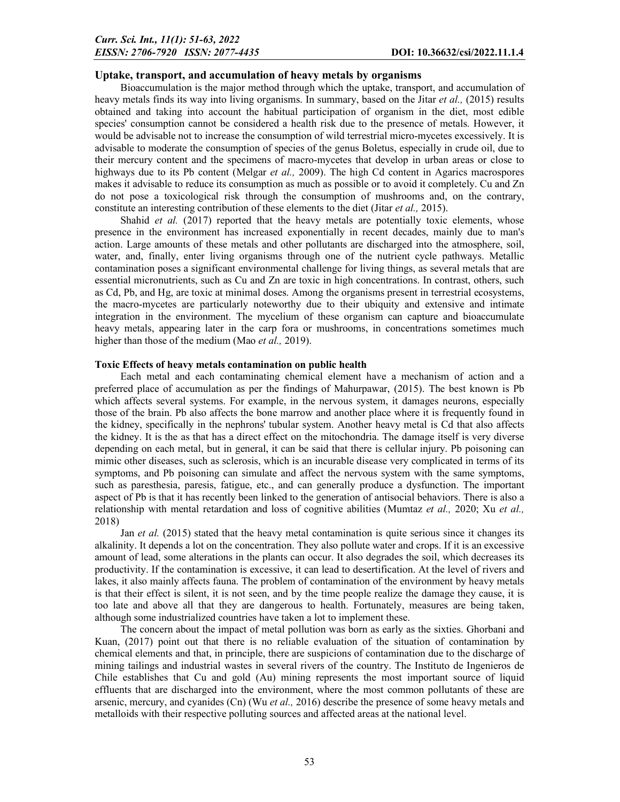## Uptake, transport, and accumulation of heavy metals by organisms

Bioaccumulation is the major method through which the uptake, transport, and accumulation of heavy metals finds its way into living organisms. In summary, based on the Jitar *et al.,* (2015) results obtained and taking into account the habitual participation of organism in the diet, most edible species' consumption cannot be considered a health risk due to the presence of metals. However, it would be advisable not to increase the consumption of wild terrestrial micro-mycetes excessively. It is advisable to moderate the consumption of species of the genus Boletus, especially in crude oil, due to their mercury content and the specimens of macro-mycetes that develop in urban areas or close to highways due to its Pb content (Melgar *et al.*, 2009). The high Cd content in Agarics macrospores makes it advisable to reduce its consumption as much as possible or to avoid it completely. Cu and Zn do not pose a toxicological risk through the consumption of mushrooms and, on the contrary, constitute an interesting contribution of these elements to the diet (Jitar *et al.,* 2015).

Shahid *et al.* (2017) reported that the heavy metals are potentially toxic elements, whose presence in the environment has increased exponentially in recent decades, mainly due to man's action. Large amounts of these metals and other pollutants are discharged into the atmosphere, soil, water, and, finally, enter living organisms through one of the nutrient cycle pathways. Metallic contamination poses a significant environmental challenge for living things, as several metals that are essential micronutrients, such as Cu and Zn are toxic in high concentrations. In contrast, others, such as Cd, Pb, and Hg, are toxic at minimal doses. Among the organisms present in terrestrial ecosystems, the macro-mycetes are particularly noteworthy due to their ubiquity and extensive and intimate integration in the environment. The mycelium of these organism can capture and bioaccumulate heavy metals, appearing later in the carp fora or mushrooms, in concentrations sometimes much higher than those of the medium (Mao *et al.,* 2019).

### Toxic Effects of heavy metals contamination on public health

Each metal and each contaminating chemical element have a mechanism of action and a preferred place of accumulation as per the findings of Mahurpawar, (2015). The best known is Pb which affects several systems. For example, in the nervous system, it damages neurons, especially those of the brain. Pb also affects the bone marrow and another place where it is frequently found in the kidney, specifically in the nephrons' tubular system. Another heavy metal is Cd that also affects the kidney. It is the as that has a direct effect on the mitochondria. The damage itself is very diverse depending on each metal, but in general, it can be said that there is cellular injury. Pb poisoning can mimic other diseases, such as sclerosis, which is an incurable disease very complicated in terms of its symptoms, and Pb poisoning can simulate and affect the nervous system with the same symptoms, such as paresthesia, paresis, fatigue, etc., and can generally produce a dysfunction. The important aspect of Pb is that it has recently been linked to the generation of antisocial behaviors. There is also a relationship with mental retardation and loss of cognitive abilities (Mumtaz *et al.,* 2020; Xu *et al.,*  2018)

Jan *et al.* (2015) stated that the heavy metal contamination is quite serious since it changes its alkalinity. It depends a lot on the concentration. They also pollute water and crops. If it is an excessive amount of lead, some alterations in the plants can occur. It also degrades the soil, which decreases its productivity. If the contamination is excessive, it can lead to desertification. At the level of rivers and lakes, it also mainly affects fauna. The problem of contamination of the environment by heavy metals is that their effect is silent, it is not seen, and by the time people realize the damage they cause, it is too late and above all that they are dangerous to health. Fortunately, measures are being taken, although some industrialized countries have taken a lot to implement these.

The concern about the impact of metal pollution was born as early as the sixties. Ghorbani and Kuan, (2017) point out that there is no reliable evaluation of the situation of contamination by chemical elements and that, in principle, there are suspicions of contamination due to the discharge of mining tailings and industrial wastes in several rivers of the country. The Instituto de Ingenieros de Chile establishes that Cu and gold (Au) mining represents the most important source of liquid effluents that are discharged into the environment, where the most common pollutants of these are arsenic, mercury, and cyanides (Cn) (Wu *et al.,* 2016) describe the presence of some heavy metals and metalloids with their respective polluting sources and affected areas at the national level.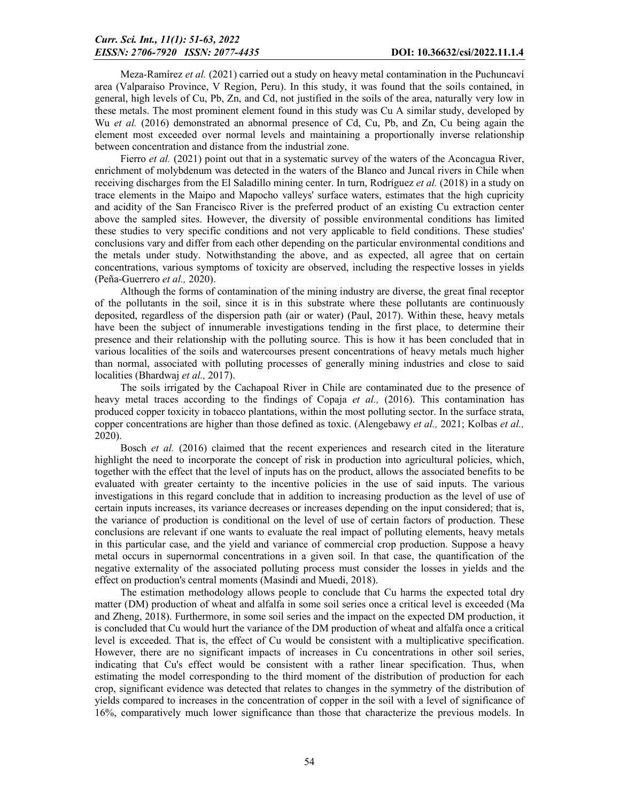Meza-Ramírez *et al.* (2021) carried out a study on heavy metal contamination in the Puchuncaví area (Valparaíso Province, V Region, Peru). In this study, it was found that the soils contained, in general, high levels of Cu, Pb, Zn, and Cd, not justified in the soils of the area, naturally very low in these metals. The most prominent element found in this study was Cu A similar study, developed by Wu *et al.* (2016) demonstrated an abnormal presence of Cd, Cu, Pb, and Zn, Cu being again the element most exceeded over normal levels and maintaining a proportionally inverse relationship between concentration and distance from the industrial zone.

Fierro *et al.* (2021) point out that in a systematic survey of the waters of the Aconcagua River, enrichment of molybdenum was detected in the waters of the Blanco and Juncal rivers in Chile when receiving discharges from the El Saladillo mining center. In turn, Rodríguez *et al.* (2018) in a study on trace elements in the Maipo and Mapocho valleys' surface waters, estimates that the high cupricity and acidity of the San Francisco River is the preferred product of an existing Cu extraction center above the sampled sites. However, the diversity of possible environmental conditions has limited these studies to very specific conditions and not very applicable to field conditions. These studies' conclusions vary and differ from each other depending on the particular environmental conditions and the metals under study. Notwithstanding the above, and as expected, all agree that on certain concentrations, various symptoms of toxicity are observed, including the respective losses in yields (Peña-Guerrero *et al.,* 2020).

Although the forms of contamination of the mining industry are diverse, the great final receptor of the pollutants in the soil, since it is in this substrate where these pollutants are continuously deposited, regardless of the dispersion path (air or water) (Paul, 2017). Within these, heavy metals have been the subject of innumerable investigations tending in the first place, to determine their presence and their relationship with the polluting source. This is how it has been concluded that in various localities of the soils and watercourses present concentrations of heavy metals much higher than normal, associated with polluting processes of generally mining industries and close to said localities (Bhardwaj *et al.,* 2017).

The soils irrigated by the Cachapoal River in Chile are contaminated due to the presence of heavy metal traces according to the findings of Copaja *et al.,* (2016). This contamination has produced copper toxicity in tobacco plantations, within the most polluting sector. In the surface strata, copper concentrations are higher than those defined as toxic. (Alengebawy *et al.,* 2021; Kolbas *et al.,*  2020).

Bosch *et al.* (2016) claimed that the recent experiences and research cited in the literature highlight the need to incorporate the concept of risk in production into agricultural policies, which, together with the effect that the level of inputs has on the product, allows the associated benefits to be evaluated with greater certainty to the incentive policies in the use of said inputs. The various investigations in this regard conclude that in addition to increasing production as the level of use of certain inputs increases, its variance decreases or increases depending on the input considered; that is, the variance of production is conditional on the level of use of certain factors of production. These conclusions are relevant if one wants to evaluate the real impact of polluting elements, heavy metals in this particular case, and the yield and variance of commercial crop production. Suppose a heavy metal occurs in supernormal concentrations in a given soil. In that case, the quantification of the negative externality of the associated polluting process must consider the losses in yields and the effect on production's central moments (Masindi and Muedi, 2018).

The estimation methodology allows people to conclude that Cu harms the expected total dry matter (DM) production of wheat and alfalfa in some soil series once a critical level is exceeded (Ma and Zheng, 2018). Furthermore, in some soil series and the impact on the expected DM production, it is concluded that Cu would hurt the variance of the DM production of wheat and alfalfa once a critical level is exceeded. That is, the effect of Cu would be consistent with a multiplicative specification. However, there are no significant impacts of increases in Cu concentrations in other soil series, indicating that Cu's effect would be consistent with a rather linear specification. Thus, when estimating the model corresponding to the third moment of the distribution of production for each crop, significant evidence was detected that relates to changes in the symmetry of the distribution of yields compared to increases in the concentration of copper in the soil with a level of significance of 16%, comparatively much lower significance than those that characterize the previous models. In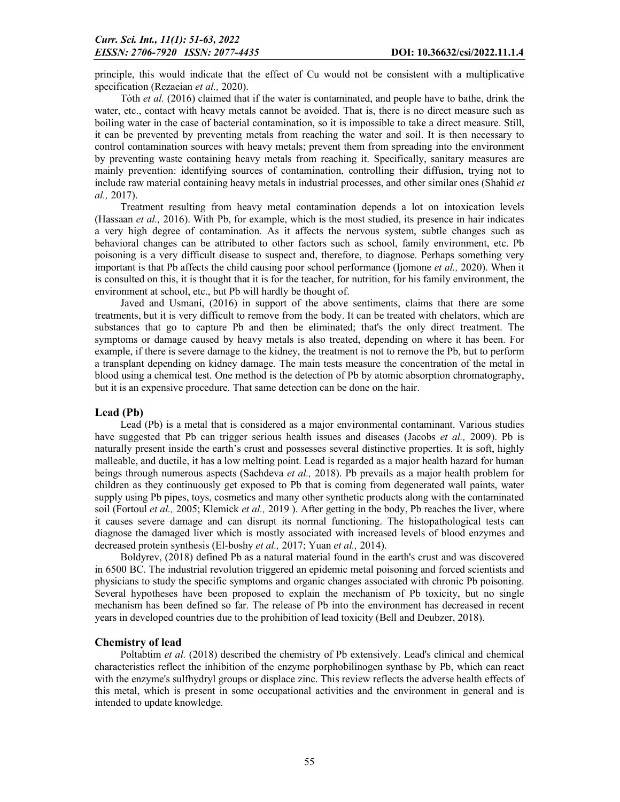principle, this would indicate that the effect of Cu would not be consistent with a multiplicative specification (Rezaeian *et al.,* 2020).

Tóth *et al.* (2016) claimed that if the water is contaminated, and people have to bathe, drink the water, etc., contact with heavy metals cannot be avoided. That is, there is no direct measure such as boiling water in the case of bacterial contamination, so it is impossible to take a direct measure. Still, it can be prevented by preventing metals from reaching the water and soil. It is then necessary to control contamination sources with heavy metals; prevent them from spreading into the environment by preventing waste containing heavy metals from reaching it. Specifically, sanitary measures are mainly prevention: identifying sources of contamination, controlling their diffusion, trying not to include raw material containing heavy metals in industrial processes, and other similar ones (Shahid *et al.,* 2017).

Treatment resulting from heavy metal contamination depends a lot on intoxication levels (Hassaan *et al.,* 2016). With Pb, for example, which is the most studied, its presence in hair indicates a very high degree of contamination. As it affects the nervous system, subtle changes such as behavioral changes can be attributed to other factors such as school, family environment, etc. Pb poisoning is a very difficult disease to suspect and, therefore, to diagnose. Perhaps something very important is that Pb affects the child causing poor school performance (Ijomone *et al.,* 2020). When it is consulted on this, it is thought that it is for the teacher, for nutrition, for his family environment, the environment at school, etc., but Pb will hardly be thought of.

Javed and Usmani, (2016) in support of the above sentiments, claims that there are some treatments, but it is very difficult to remove from the body. It can be treated with chelators, which are substances that go to capture Pb and then be eliminated; that's the only direct treatment. The symptoms or damage caused by heavy metals is also treated, depending on where it has been. For example, if there is severe damage to the kidney, the treatment is not to remove the Pb, but to perform a transplant depending on kidney damage. The main tests measure the concentration of the metal in blood using a chemical test. One method is the detection of Pb by atomic absorption chromatography, but it is an expensive procedure. That same detection can be done on the hair.

#### Lead (Pb)

Lead (Pb) is a metal that is considered as a major environmental contaminant. Various studies have suggested that Pb can trigger serious health issues and diseases (Jacobs *et al.,* 2009). Pb is naturally present inside the earth's crust and possesses several distinctive properties. It is soft, highly malleable, and ductile, it has a low melting point. Lead is regarded as a major health hazard for human beings through numerous aspects (Sachdeva *et al.,* 2018). Pb prevails as a major health problem for children as they continuously get exposed to Pb that is coming from degenerated wall paints, water supply using Pb pipes, toys, cosmetics and many other synthetic products along with the contaminated soil (Fortoul *et al.,* 2005; Klemick *et al.,* 2019 ). After getting in the body, Pb reaches the liver, where it causes severe damage and can disrupt its normal functioning. The histopathological tests can diagnose the damaged liver which is mostly associated with increased levels of blood enzymes and decreased protein synthesis (El-boshy *et al.,* 2017; Yuan *et al.,* 2014).

Boldyrev, (2018) defined Pb as a natural material found in the earth's crust and was discovered in 6500 BC. The industrial revolution triggered an epidemic metal poisoning and forced scientists and physicians to study the specific symptoms and organic changes associated with chronic Pb poisoning. Several hypotheses have been proposed to explain the mechanism of Pb toxicity, but no single mechanism has been defined so far. The release of Pb into the environment has decreased in recent years in developed countries due to the prohibition of lead toxicity (Bell and Deubzer, 2018).

#### Chemistry of lead

Poltabtim *et al.* (2018) described the chemistry of Pb extensively. Lead's clinical and chemical characteristics reflect the inhibition of the enzyme porphobilinogen synthase by Pb, which can react with the enzyme's sulfhydryl groups or displace zinc. This review reflects the adverse health effects of this metal, which is present in some occupational activities and the environment in general and is intended to update knowledge.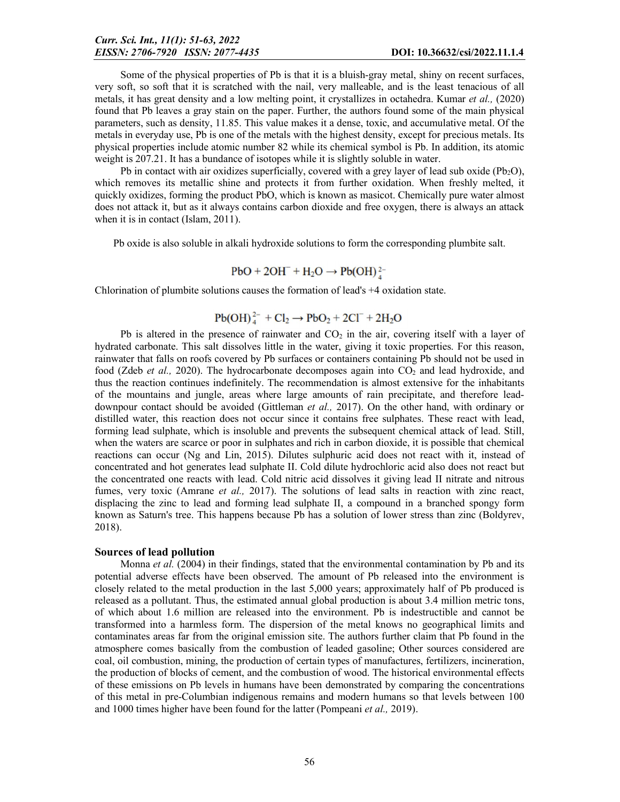Some of the physical properties of Pb is that it is a bluish-gray metal, shiny on recent surfaces, very soft, so soft that it is scratched with the nail, very malleable, and is the least tenacious of all metals, it has great density and a low melting point, it crystallizes in octahedra. Kumar *et al.,* (2020) found that Pb leaves a gray stain on the paper. Further, the authors found some of the main physical parameters, such as density, 11.85. This value makes it a dense, toxic, and accumulative metal. Of the metals in everyday use, Pb is one of the metals with the highest density, except for precious metals. Its physical properties include atomic number 82 while its chemical symbol is Pb. In addition, its atomic weight is 207.21. It has a bundance of isotopes while it is slightly soluble in water.

Pb in contact with air oxidizes superficially, covered with a grey layer of lead sub oxide ( $Pb<sub>2</sub>O$ ), which removes its metallic shine and protects it from further oxidation. When freshly melted, it quickly oxidizes, forming the product PbO, which is known as masicot. Chemically pure water almost does not attack it, but as it always contains carbon dioxide and free oxygen, there is always an attack when it is in contact (Islam, 2011).

Pb oxide is also soluble in alkali hydroxide solutions to form the corresponding plumbite salt.

$$
PbO + 2OH^- + H_2O \rightarrow Pb(OH)^{2-}
$$

Chlorination of plumbite solutions causes the formation of lead's +4 oxidation state.

$$
Pb(OH)42- + Cl2 \rightarrow PbO2 + 2Cl- + 2H2O
$$

Pb is altered in the presence of rainwater and  $CO<sub>2</sub>$  in the air, covering itself with a layer of hydrated carbonate. This salt dissolves little in the water, giving it toxic properties. For this reason, rainwater that falls on roofs covered by Pb surfaces or containers containing Pb should not be used in food (Zdeb *et al.*, 2020). The hydrocarbonate decomposes again into  $CO<sub>2</sub>$  and lead hydroxide, and thus the reaction continues indefinitely. The recommendation is almost extensive for the inhabitants of the mountains and jungle, areas where large amounts of rain precipitate, and therefore leaddownpour contact should be avoided (Gittleman *et al.,* 2017). On the other hand, with ordinary or distilled water, this reaction does not occur since it contains free sulphates. These react with lead, forming lead sulphate, which is insoluble and prevents the subsequent chemical attack of lead. Still, when the waters are scarce or poor in sulphates and rich in carbon dioxide, it is possible that chemical reactions can occur (Ng and Lin, 2015). Dilutes sulphuric acid does not react with it, instead of concentrated and hot generates lead sulphate II. Cold dilute hydrochloric acid also does not react but the concentrated one reacts with lead. Cold nitric acid dissolves it giving lead II nitrate and nitrous fumes, very toxic (Amrane *et al.*, 2017). The solutions of lead salts in reaction with zinc react, displacing the zinc to lead and forming lead sulphate II, a compound in a branched spongy form known as Saturn's tree. This happens because Pb has a solution of lower stress than zinc (Boldyrev, 2018).

#### Sources of lead pollution

Monna *et al.* (2004) in their findings, stated that the environmental contamination by Pb and its potential adverse effects have been observed. The amount of Pb released into the environment is closely related to the metal production in the last 5,000 years; approximately half of Pb produced is released as a pollutant. Thus, the estimated annual global production is about 3.4 million metric tons, of which about 1.6 million are released into the environment. Pb is indestructible and cannot be transformed into a harmless form. The dispersion of the metal knows no geographical limits and contaminates areas far from the original emission site. The authors further claim that Pb found in the atmosphere comes basically from the combustion of leaded gasoline; Other sources considered are coal, oil combustion, mining, the production of certain types of manufactures, fertilizers, incineration, the production of blocks of cement, and the combustion of wood. The historical environmental effects of these emissions on Pb levels in humans have been demonstrated by comparing the concentrations of this metal in pre-Columbian indigenous remains and modern humans so that levels between 100 and 1000 times higher have been found for the latter (Pompeani *et al.,* 2019).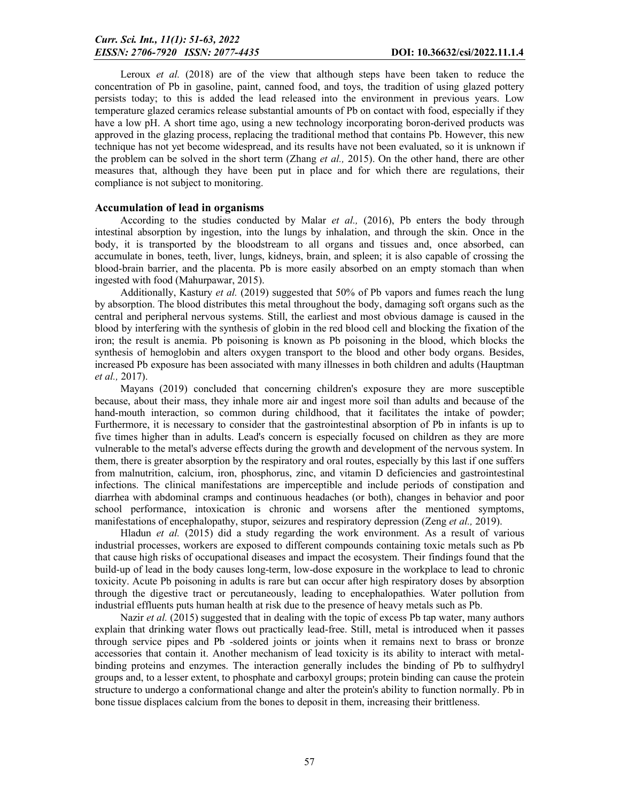Leroux *et al.* (2018) are of the view that although steps have been taken to reduce the concentration of Pb in gasoline, paint, canned food, and toys, the tradition of using glazed pottery persists today; to this is added the lead released into the environment in previous years. Low temperature glazed ceramics release substantial amounts of Pb on contact with food, especially if they have a low pH. A short time ago, using a new technology incorporating boron-derived products was approved in the glazing process, replacing the traditional method that contains Pb. However, this new technique has not yet become widespread, and its results have not been evaluated, so it is unknown if the problem can be solved in the short term (Zhang *et al.,* 2015). On the other hand, there are other measures that, although they have been put in place and for which there are regulations, their compliance is not subject to monitoring.

### Accumulation of lead in organisms

According to the studies conducted by Malar *et al.,* (2016), Pb enters the body through intestinal absorption by ingestion, into the lungs by inhalation, and through the skin. Once in the body, it is transported by the bloodstream to all organs and tissues and, once absorbed, can accumulate in bones, teeth, liver, lungs, kidneys, brain, and spleen; it is also capable of crossing the blood-brain barrier, and the placenta. Pb is more easily absorbed on an empty stomach than when ingested with food (Mahurpawar, 2015).

Additionally, Kastury *et al.* (2019) suggested that 50% of Pb vapors and fumes reach the lung by absorption. The blood distributes this metal throughout the body, damaging soft organs such as the central and peripheral nervous systems. Still, the earliest and most obvious damage is caused in the blood by interfering with the synthesis of globin in the red blood cell and blocking the fixation of the iron; the result is anemia. Pb poisoning is known as Pb poisoning in the blood, which blocks the synthesis of hemoglobin and alters oxygen transport to the blood and other body organs. Besides, increased Pb exposure has been associated with many illnesses in both children and adults (Hauptman *et al.,* 2017).

Mayans (2019) concluded that concerning children's exposure they are more susceptible because, about their mass, they inhale more air and ingest more soil than adults and because of the hand-mouth interaction, so common during childhood, that it facilitates the intake of powder; Furthermore, it is necessary to consider that the gastrointestinal absorption of Pb in infants is up to five times higher than in adults. Lead's concern is especially focused on children as they are more vulnerable to the metal's adverse effects during the growth and development of the nervous system. In them, there is greater absorption by the respiratory and oral routes, especially by this last if one suffers from malnutrition, calcium, iron, phosphorus, zinc, and vitamin D deficiencies and gastrointestinal infections. The clinical manifestations are imperceptible and include periods of constipation and diarrhea with abdominal cramps and continuous headaches (or both), changes in behavior and poor school performance, intoxication is chronic and worsens after the mentioned symptoms, manifestations of encephalopathy, stupor, seizures and respiratory depression (Zeng *et al.,* 2019).

Hladun *et al.* (2015) did a study regarding the work environment. As a result of various industrial processes, workers are exposed to different compounds containing toxic metals such as Pb that cause high risks of occupational diseases and impact the ecosystem. Their findings found that the build-up of lead in the body causes long-term, low-dose exposure in the workplace to lead to chronic toxicity. Acute Pb poisoning in adults is rare but can occur after high respiratory doses by absorption through the digestive tract or percutaneously, leading to encephalopathies. Water pollution from industrial effluents puts human health at risk due to the presence of heavy metals such as Pb.

Nazir *et al.* (2015) suggested that in dealing with the topic of excess Pb tap water, many authors explain that drinking water flows out practically lead-free. Still, metal is introduced when it passes through service pipes and Pb -soldered joints or joints when it remains next to brass or bronze accessories that contain it. Another mechanism of lead toxicity is its ability to interact with metalbinding proteins and enzymes. The interaction generally includes the binding of Pb to sulfhydryl groups and, to a lesser extent, to phosphate and carboxyl groups; protein binding can cause the protein structure to undergo a conformational change and alter the protein's ability to function normally. Pb in bone tissue displaces calcium from the bones to deposit in them, increasing their brittleness.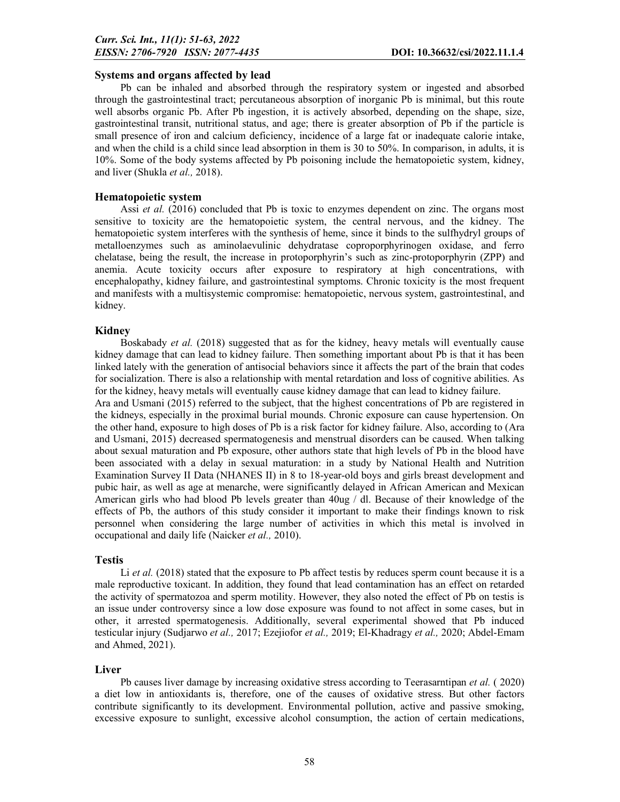### Systems and organs affected by lead

Pb can be inhaled and absorbed through the respiratory system or ingested and absorbed through the gastrointestinal tract; percutaneous absorption of inorganic Pb is minimal, but this route well absorbs organic Pb. After Pb ingestion, it is actively absorbed, depending on the shape, size, gastrointestinal transit, nutritional status, and age; there is greater absorption of Pb if the particle is small presence of iron and calcium deficiency, incidence of a large fat or inadequate calorie intake, and when the child is a child since lead absorption in them is 30 to 50%. In comparison, in adults, it is 10%. Some of the body systems affected by Pb poisoning include the hematopoietic system, kidney, and liver (Shukla *et al.,* 2018).

### Hematopoietic system

Assi *et al.* (2016) concluded that Pb is toxic to enzymes dependent on zinc. The organs most sensitive to toxicity are the hematopoietic system, the central nervous, and the kidney. The hematopoietic system interferes with the synthesis of heme, since it binds to the sulfhydryl groups of metalloenzymes such as aminolaevulinic dehydratase coproporphyrinogen oxidase, and ferro chelatase, being the result, the increase in protoporphyrin's such as zinc-protoporphyrin (ZPP) and anemia. Acute toxicity occurs after exposure to respiratory at high concentrations, with encephalopathy, kidney failure, and gastrointestinal symptoms. Chronic toxicity is the most frequent and manifests with a multisystemic compromise: hematopoietic, nervous system, gastrointestinal, and kidney.

### Kidney

Boskabady *et al.* (2018) suggested that as for the kidney, heavy metals will eventually cause kidney damage that can lead to kidney failure. Then something important about Pb is that it has been linked lately with the generation of antisocial behaviors since it affects the part of the brain that codes for socialization. There is also a relationship with mental retardation and loss of cognitive abilities. As for the kidney, heavy metals will eventually cause kidney damage that can lead to kidney failure.

Ara and Usmani (2015) referred to the subject, that the highest concentrations of Pb are registered in the kidneys, especially in the proximal burial mounds. Chronic exposure can cause hypertension. On the other hand, exposure to high doses of Pb is a risk factor for kidney failure. Also, according to (Ara and Usmani, 2015) decreased spermatogenesis and menstrual disorders can be caused. When talking about sexual maturation and Pb exposure, other authors state that high levels of Pb in the blood have been associated with a delay in sexual maturation: in a study by National Health and Nutrition Examination Survey II Data (NHANES II) in 8 to 18-year-old boys and girls breast development and pubic hair, as well as age at menarche, were significantly delayed in African American and Mexican American girls who had blood Pb levels greater than 40ug / dl. Because of their knowledge of the effects of Pb, the authors of this study consider it important to make their findings known to risk personnel when considering the large number of activities in which this metal is involved in occupational and daily life (Naicker *et al.,* 2010).

## Testis

Li *et al.* (2018) stated that the exposure to Pb affect testis by reduces sperm count because it is a male reproductive toxicant. In addition, they found that lead contamination has an effect on retarded the activity of spermatozoa and sperm motility. However, they also noted the effect of Pb on testis is an issue under controversy since a low dose exposure was found to not affect in some cases, but in other, it arrested spermatogenesis. Additionally, several experimental showed that Pb induced testicular injury (Sudjarwo *et al.,* 2017; Ezejiofor *et al.,* 2019; El-Khadragy *et al.,* 2020; Abdel-Emam and Ahmed, 2021).

#### Liver

Pb causes liver damage by increasing oxidative stress according to Teerasarntipan *et al.* ( 2020) a diet low in antioxidants is, therefore, one of the causes of oxidative stress. But other factors contribute significantly to its development. Environmental pollution, active and passive smoking, excessive exposure to sunlight, excessive alcohol consumption, the action of certain medications,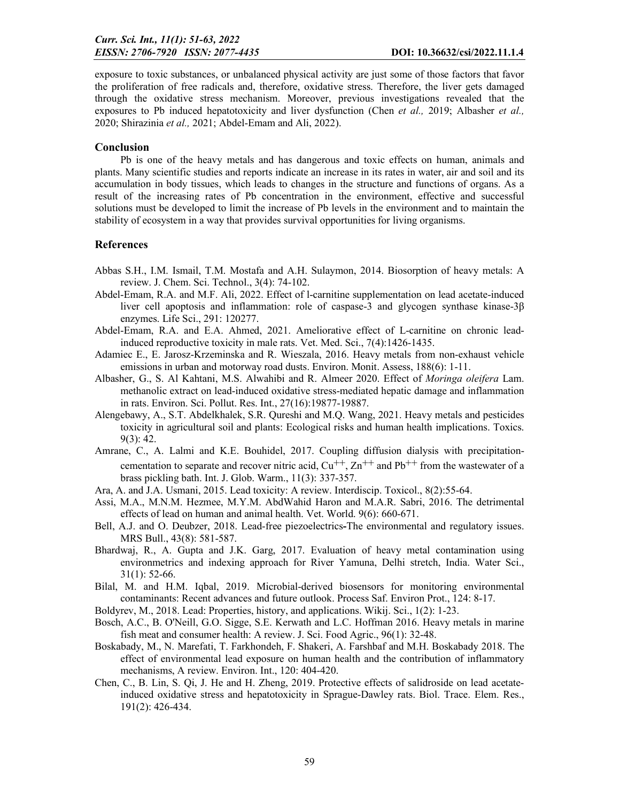exposure to toxic substances, or unbalanced physical activity are just some of those factors that favor the proliferation of free radicals and, therefore, oxidative stress. Therefore, the liver gets damaged through the oxidative stress mechanism. Moreover, previous investigations revealed that the exposures to Pb induced hepatotoxicity and liver dysfunction (Chen *et al.,* 2019; Albasher *et al.,*  2020; Shirazinia *et al.,* 2021; Abdel-Emam and Ali, 2022).

### Conclusion

Pb is one of the heavy metals and has dangerous and toxic effects on human, animals and plants. Many scientific studies and reports indicate an increase in its rates in water, air and soil and its accumulation in body tissues, which leads to changes in the structure and functions of organs. As a result of the increasing rates of Pb concentration in the environment, effective and successful solutions must be developed to limit the increase of Pb levels in the environment and to maintain the stability of ecosystem in a way that provides survival opportunities for living organisms.

## **References**

- Abbas S.H., I.M. Ismail, T.M. Mostafa and A.H. Sulaymon, 2014. Biosorption of heavy metals: A review. J. Chem. Sci. Technol., 3(4): 74-102.
- Abdel-Emam, R.A. and M.F. Ali, 2022. Effect of l-carnitine supplementation on lead acetate-induced liver cell apoptosis and inflammation: role of caspase-3 and glycogen synthase kinase-3β enzymes. Life Sci., 291: 120277.
- Abdel-Emam, R.A. and E.A. Ahmed, 2021. Ameliorative effect of L-carnitine on chronic leadinduced reproductive toxicity in male rats. Vet. Med. Sci., 7(4):1426-1435.
- Adamiec E., E. Jarosz-Krzeminska and R. Wieszala, 2016. Heavy metals from non-exhaust vehicle emissions in urban and motorway road dusts. Environ. Monit. Assess, 188(6): 1-11.
- Albasher, G., S. Al Kahtani, M.S. Alwahibi and R. Almeer 2020. Effect of *Moringa oleifera* Lam. methanolic extract on lead-induced oxidative stress-mediated hepatic damage and inflammation in rats. Environ. Sci. Pollut. Res. Int., 27(16):19877-19887.
- Alengebawy, A., S.T. Abdelkhalek, S.R. Qureshi and M.Q. Wang, 2021. Heavy metals and pesticides toxicity in agricultural soil and plants: Ecological risks and human health implications. Toxics. 9(3): 42.
- Amrane, C., A. Lalmi and K.E. Bouhidel, 2017. Coupling diffusion dialysis with precipitationcementation to separate and recover nitric acid,  $Cu^{++}$ ,  $Zn^{++}$  and Pb<sup>++</sup> from the wastewater of a brass pickling bath. Int. J. Glob. Warm., 11(3): 337-357.
- Ara, A. and J.A. Usmani, 2015. Lead toxicity: A review. Interdiscip. Toxicol., 8(2):55-64.
- Assi, M.A., M.N.M. Hezmee, M.Y.M. AbdWahid Haron and M.A.R. Sabri, 2016. The detrimental effects of lead on human and animal health. Vet. World. 9(6): 660-671.
- Bell, A.J. and O. Deubzer, 2018. Lead-free piezoelectrics-The environmental and regulatory issues. MRS Bull., 43(8): 581-587.
- Bhardwaj, R., A. Gupta and J.K. Garg, 2017. Evaluation of heavy metal contamination using environmetrics and indexing approach for River Yamuna, Delhi stretch, India. Water Sci., 31(1): 52-66.
- Bilal, M. and H.M. Iqbal, 2019. Microbial-derived biosensors for monitoring environmental contaminants: Recent advances and future outlook. Process Saf. Environ Prot., 124: 8-17.
- Boldyrev, M., 2018. Lead: Properties, history, and applications. Wikij. Sci., 1(2): 1-23.
- Bosch, A.C., B. O'Neill, G.O. Sigge, S.E. Kerwath and L.C. Hoffman 2016. Heavy metals in marine fish meat and consumer health: A review. J. Sci. Food Agric., 96(1): 32-48.
- Boskabady, M., N. Marefati, T. Farkhondeh, F. Shakeri, A. Farshbaf and M.H. Boskabady 2018. The effect of environmental lead exposure on human health and the contribution of inflammatory mechanisms, A review. Environ. Int., 120: 404-420.
- Chen, C., B. Lin, S. Qi, J. He and H. Zheng, 2019. Protective effects of salidroside on lead acetateinduced oxidative stress and hepatotoxicity in Sprague-Dawley rats. Biol. Trace. Elem. Res., 191(2): 426-434.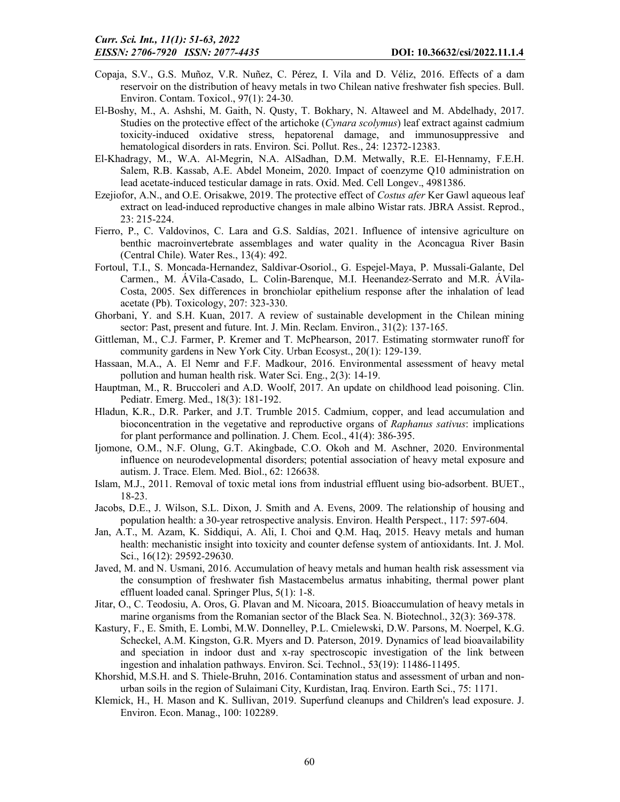- Copaja, S.V., G.S. Muñoz, V.R. Nuñez, C. Pérez, I. Vila and D. Véliz, 2016. Effects of a dam reservoir on the distribution of heavy metals in two Chilean native freshwater fish species. Bull. Environ. Contam. Toxicol., 97(1): 24-30.
- El-Boshy, M., A. Ashshi, M. Gaith, N. Qusty, T. Bokhary, N. Altaweel and M. Abdelhady, 2017. Studies on the protective effect of the artichoke (*Cynara scolymus*) leaf extract against cadmium toxicity-induced oxidative stress, hepatorenal damage, and immunosuppressive and hematological disorders in rats. Environ. Sci. Pollut. Res., 24: 12372-12383.
- El-Khadragy, M., W.A. Al-Megrin, N.A. AlSadhan, D.M. Metwally, R.E. El-Hennamy, F.E.H. Salem, R.B. Kassab, A.E. Abdel Moneim, 2020. Impact of coenzyme Q10 administration on lead acetate-induced testicular damage in rats. Oxid. Med. Cell Longev., 4981386.
- Ezejiofor, A.N., and O.E. Orisakwe, 2019. The protective effect of *Costus afer* Ker Gawl aqueous leaf extract on lead-induced reproductive changes in male albino Wistar rats. JBRA Assist. Reprod., 23: 215-224.
- Fierro, P., C. Valdovinos, C. Lara and G.S. Saldías, 2021. Influence of intensive agriculture on benthic macroinvertebrate assemblages and water quality in the Aconcagua River Basin (Central Chile). Water Res., 13(4): 492.
- Fortoul, T.I., S. Moncada-Hernandez, Saldivar-Osoriol., G. Espejel-Maya, P. Mussali-Galante, Del Carmen., M. ÁVila-Casado, L. Colin-Barenque, M.I. Heenandez-Serrato and M.R. ÁVila-Costa, 2005. Sex differences in bronchiolar epithelium response after the inhalation of lead acetate (Pb). Toxicology, 207: 323-330.
- Ghorbani, Y. and S.H. Kuan, 2017. A review of sustainable development in the Chilean mining sector: Past, present and future. Int. J. Min. Reclam. Environ., 31(2): 137-165.
- Gittleman, M., C.J. Farmer, P. Kremer and T. McPhearson, 2017. Estimating stormwater runoff for community gardens in New York City. Urban Ecosyst., 20(1): 129-139.
- Hassaan, M.A., A. El Nemr and F.F. Madkour, 2016. Environmental assessment of heavy metal pollution and human health risk. Water Sci. Eng., 2(3): 14-19.
- Hauptman, M., R. Bruccoleri and A.D. Woolf, 2017. An update on childhood lead poisoning. Clin. Pediatr. Emerg. Med., 18(3): 181-192.
- Hladun, K.R., D.R. Parker, and J.T. Trumble 2015. Cadmium, copper, and lead accumulation and bioconcentration in the vegetative and reproductive organs of *Raphanus sativus*: implications for plant performance and pollination. J. Chem. Ecol., 41(4): 386-395.
- Ijomone, O.M., N.F. Olung, G.T. Akingbade, C.O. Okoh and M. Aschner, 2020. Environmental influence on neurodevelopmental disorders; potential association of heavy metal exposure and autism. J. Trace. Elem. Med. Biol., 62: 126638.
- Islam, M.J., 2011. Removal of toxic metal ions from industrial effluent using bio-adsorbent. BUET., 18-23.
- Jacobs, D.E., J. Wilson, S.L. Dixon, J. Smith and A. Evens, 2009. The relationship of housing and population health: a 30-year retrospective analysis. Environ. Health Perspect., 117: 597-604.
- Jan, A.T., M. Azam, K. Siddiqui, A. Ali, I. Choi and Q.M. Haq, 2015. Heavy metals and human health: mechanistic insight into toxicity and counter defense system of antioxidants. Int. J. Mol. Sci., 16(12): 29592-29630.
- Javed, M. and N. Usmani, 2016. Accumulation of heavy metals and human health risk assessment via the consumption of freshwater fish Mastacembelus armatus inhabiting, thermal power plant effluent loaded canal. Springer Plus, 5(1): 1-8.
- Jitar, O., C. Teodosiu, A. Oros, G. Plavan and M. Nicoara, 2015. Bioaccumulation of heavy metals in marine organisms from the Romanian sector of the Black Sea. N. Biotechnol., 32(3): 369-378.
- Kastury, F., E. Smith, E. Lombi, M.W. Donnelley, P.L. Cmielewski, D.W. Parsons, M. Noerpel, K.G. Scheckel, A.M. Kingston, G.R. Myers and D. Paterson, 2019. Dynamics of lead bioavailability and speciation in indoor dust and x-ray spectroscopic investigation of the link between ingestion and inhalation pathways. Environ. Sci. Technol., 53(19): 11486-11495.
- Khorshid, M.S.H. and S. Thiele-Bruhn, 2016. Contamination status and assessment of urban and nonurban soils in the region of Sulaimani City, Kurdistan, Iraq. Environ. Earth Sci., 75: 1171.
- Klemick, H., H. Mason and K. Sullivan, 2019. Superfund cleanups and Children's lead exposure. J. Environ. Econ. Manag., 100: 102289.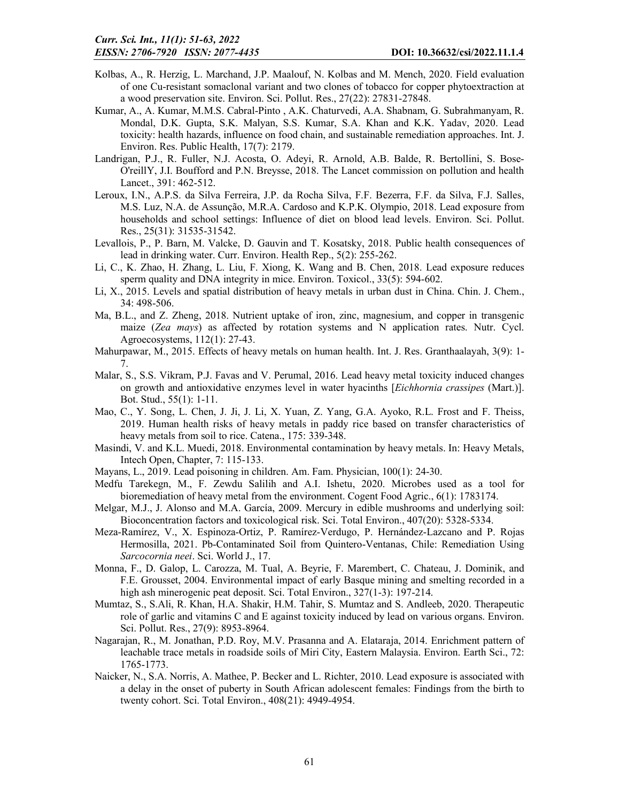- Kolbas, A., R. Herzig, L. Marchand, J.P. Maalouf, N. Kolbas and M. Mench, 2020. Field evaluation of one Cu-resistant somaclonal variant and two clones of tobacco for copper phytoextraction at a wood preservation site. Environ. Sci. Pollut. Res., 27(22): 27831-27848.
- Kumar, A., A. Kumar, M.M.S. Cabral-Pinto , A.K. Chaturvedi, A.A. Shabnam, G. Subrahmanyam, R. Mondal, D.K. Gupta, S.K. Malyan, S.S. Kumar, S.A. Khan and K.K. Yadav, 2020. Lead toxicity: health hazards, influence on food chain, and sustainable remediation approaches. Int. J. Environ. Res. Public Health, 17(7): 2179.
- Landrigan, P.J., R. Fuller, N.J. Acosta, O. Adeyi, R. Arnold, A.B. Balde, R. Bertollini, S. Bose-O'reillY, J.I. Boufford and P.N. Breysse, 2018. The Lancet commission on pollution and health Lancet., 391: 462-512.
- Leroux, I.N., A.P.S. da Silva Ferreira, J.P. da Rocha Silva, F.F. Bezerra, F.F. da Silva, F.J. Salles, M.S. Luz, N.A. de Assunção, M.R.A. Cardoso and K.P.K. Olympio, 2018. Lead exposure from households and school settings: Influence of diet on blood lead levels. Environ. Sci. Pollut. Res., 25(31): 31535-31542.
- Levallois, P., P. Barn, M. Valcke, D. Gauvin and T. Kosatsky, 2018. Public health consequences of lead in drinking water. Curr. Environ. Health Rep., 5(2): 255-262.
- Li, C., K. Zhao, H. Zhang, L. Liu, F. Xiong, K. Wang and B. Chen, 2018. Lead exposure reduces sperm quality and DNA integrity in mice. Environ. Toxicol., 33(5): 594-602.
- Li, X., 2015. Levels and spatial distribution of heavy metals in urban dust in China. Chin. J. Chem., 34: 498-506.
- Ma, B.L., and Z. Zheng, 2018. Nutrient uptake of iron, zinc, magnesium, and copper in transgenic maize (*Zea mays*) as affected by rotation systems and N application rates. Nutr. Cycl. Agroecosystems, 112(1): 27-43.
- Mahurpawar, M., 2015. Effects of heavy metals on human health. Int. J. Res. Granthaalayah, 3(9): 1- 7.
- Malar, S., S.S. Vikram, P.J. Favas and V. Perumal, 2016. Lead heavy metal toxicity induced changes on growth and antioxidative enzymes level in water hyacinths [*Eichhornia crassipes* (Mart.)]. Bot. Stud., 55(1): 1-11.
- Mao, C., Y. Song, L. Chen, J. Ji, J. Li, X. Yuan, Z. Yang, G.A. Ayoko, R.L. Frost and F. Theiss, 2019. Human health risks of heavy metals in paddy rice based on transfer characteristics of heavy metals from soil to rice. Catena., 175: 339-348.
- Masindi, V. and K.L. Muedi, 2018. Environmental contamination by heavy metals. In: Heavy Metals, Intech Open, Chapter, 7: 115-133.
- Mayans, L., 2019. Lead poisoning in children. Am. Fam. Physician, 100(1): 24-30.
- Medfu Tarekegn, M., F. Zewdu Salilih and A.I. Ishetu, 2020. Microbes used as a tool for bioremediation of heavy metal from the environment. Cogent Food Agric., 6(1): 1783174.
- Melgar, M.J., J. Alonso and M.A. García, 2009. Mercury in edible mushrooms and underlying soil: Bioconcentration factors and toxicological risk. Sci. Total Environ., 407(20): 5328-5334.
- Meza-Ramírez, V., X. Espinoza-Ortiz, P. Ramírez-Verdugo, P. Hernández-Lazcano and P. Rojas Hermosilla, 2021. Pb-Contaminated Soil from Quintero-Ventanas, Chile: Remediation Using *Sarcocornia neei*. Sci. World J., 17.
- Monna, F., D. Galop, L. Carozza, M. Tual, A. Beyrie, F. Marembert, C. Chateau, J. Dominik, and F.E. Grousset, 2004. Environmental impact of early Basque mining and smelting recorded in a high ash minerogenic peat deposit. Sci. Total Environ., 327(1-3): 197-214.
- Mumtaz, S., S.Ali, R. Khan, H.A. Shakir, H.M. Tahir, S. Mumtaz and S. Andleeb, 2020. Therapeutic role of garlic and vitamins C and E against toxicity induced by lead on various organs. Environ. Sci. Pollut. Res., 27(9): 8953-8964.
- Nagarajan, R., M. Jonathan, P.D. Roy, M.V. Prasanna and A. Elataraja, 2014. Enrichment pattern of leachable trace metals in roadside soils of Miri City, Eastern Malaysia. Environ. Earth Sci., 72: 1765-1773.
- Naicker, N., S.A. Norris, A. Mathee, P. Becker and L. Richter, 2010. Lead exposure is associated with a delay in the onset of puberty in South African adolescent females: Findings from the birth to twenty cohort. Sci. Total Environ., 408(21): 4949-4954.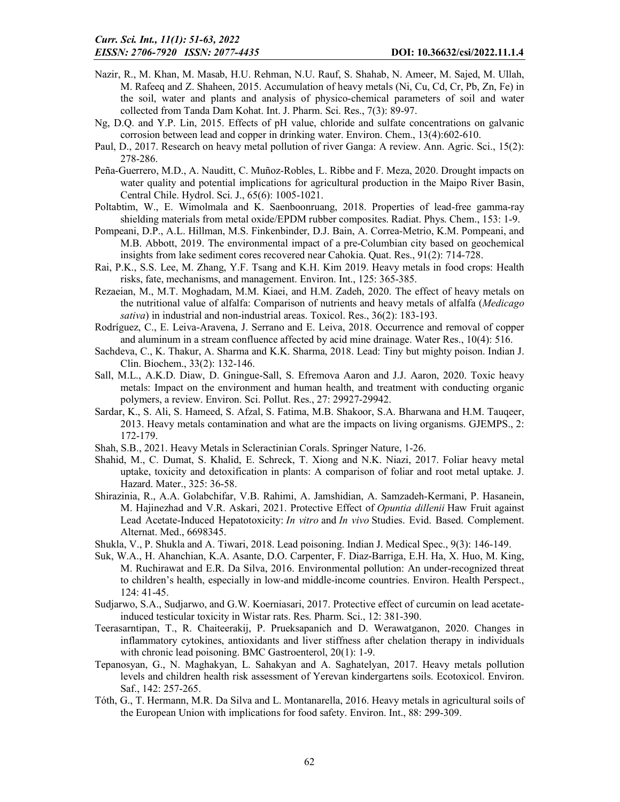- Nazir, R., M. Khan, M. Masab, H.U. Rehman, N.U. Rauf, S. Shahab, N. Ameer, M. Sajed, M. Ullah, M. Rafeeq and Z. Shaheen, 2015. Accumulation of heavy metals (Ni, Cu, Cd, Cr, Pb, Zn, Fe) in the soil, water and plants and analysis of physico-chemical parameters of soil and water collected from Tanda Dam Kohat. Int. J. Pharm. Sci. Res., 7(3): 89-97.
- Ng, D.Q. and Y.P. Lin, 2015. Effects of pH value, chloride and sulfate concentrations on galvanic corrosion between lead and copper in drinking water. Environ. Chem., 13(4):602-610.
- Paul, D., 2017. Research on heavy metal pollution of river Ganga: A review. Ann. Agric. Sci., 15(2): 278-286.
- Peña-Guerrero, M.D., A. Nauditt, C. Muñoz-Robles, L. Ribbe and F. Meza, 2020. Drought impacts on water quality and potential implications for agricultural production in the Maipo River Basin, Central Chile. Hydrol. Sci. J., 65(6): 1005-1021.
- Poltabtim, W., E. Wimolmala and K. Saenboonruang, 2018. Properties of lead-free gamma-ray shielding materials from metal oxide/EPDM rubber composites. Radiat. Phys. Chem., 153: 1-9.
- Pompeani, D.P., A.L. Hillman, M.S. Finkenbinder, D.J. Bain, A. Correa-Metrio, K.M. Pompeani, and M.B. Abbott, 2019. The environmental impact of a pre-Columbian city based on geochemical insights from lake sediment cores recovered near Cahokia. Quat. Res., 91(2): 714-728.
- Rai, P.K., S.S. Lee, M. Zhang, Y.F. Tsang and K.H. Kim 2019. Heavy metals in food crops: Health risks, fate, mechanisms, and management. Environ. Int., 125: 365-385.
- Rezaeian, M., M.T. Moghadam, M.M. Kiaei, and H.M. Zadeh, 2020. The effect of heavy metals on the nutritional value of alfalfa: Comparison of nutrients and heavy metals of alfalfa (*Medicago sativa*) in industrial and non-industrial areas. Toxicol. Res., 36(2): 183-193.
- Rodríguez, C., E. Leiva-Aravena, J. Serrano and E. Leiva, 2018. Occurrence and removal of copper and aluminum in a stream confluence affected by acid mine drainage. Water Res., 10(4): 516.
- Sachdeva, C., K. Thakur, A. Sharma and K.K. Sharma, 2018. Lead: Tiny but mighty poison. Indian J. Clin. Biochem., 33(2): 132-146.
- Sall, M.L., A.K.D. Diaw, D. Gningue-Sall, S. Efremova Aaron and J.J. Aaron, 2020. Toxic heavy metals: Impact on the environment and human health, and treatment with conducting organic polymers, a review. Environ. Sci. Pollut. Res., 27: 29927-29942.
- Sardar, K., S. Ali, S. Hameed, S. Afzal, S. Fatima, M.B. Shakoor, S.A. Bharwana and H.M. Tauqeer, 2013. Heavy metals contamination and what are the impacts on living organisms. GJEMPS., 2: 172-179.
- Shah, S.B., 2021. Heavy Metals in Scleractinian Corals. Springer Nature, 1-26.
- Shahid, M., C. Dumat, S. Khalid, E. Schreck, T. Xiong and N.K. Niazi, 2017. Foliar heavy metal uptake, toxicity and detoxification in plants: A comparison of foliar and root metal uptake. J. Hazard. Mater., 325: 36-58.
- Shirazinia, R., A.A. Golabchifar, V.B. Rahimi, A. Jamshidian, A. Samzadeh-Kermani, P. Hasanein, M. Hajinezhad and V.R. Askari, 2021. Protective Effect of *Opuntia dillenii* Haw Fruit against Lead Acetate-Induced Hepatotoxicity: *In vitro* and *In vivo* Studies. Evid. Based. Complement. Alternat. Med., 6698345.
- Shukla, V., P. Shukla and A. Tiwari, 2018. Lead poisoning. Indian J. Medical Spec., 9(3): 146-149.
- Suk, W.A., H. Ahanchian, K.A. Asante, D.O. Carpenter, F. Diaz-Barriga, E.H. Ha, X. Huo, M. King, M. Ruchirawat and E.R. Da Silva, 2016. Environmental pollution: An under-recognized threat to children's health, especially in low-and middle-income countries. Environ. Health Perspect., 124: 41-45.
- Sudjarwo, S.A., Sudjarwo, and G.W. Koerniasari, 2017. Protective effect of curcumin on lead acetateinduced testicular toxicity in Wistar rats. Res. Pharm. Sci., 12: 381-390.
- Teerasarntipan, T., R. Chaiteerakij, P. Prueksapanich and D. Werawatganon, 2020. Changes in inflammatory cytokines, antioxidants and liver stiffness after chelation therapy in individuals with chronic lead poisoning. BMC Gastroenterol, 20(1): 1-9.
- Tepanosyan, G., N. Maghakyan, L. Sahakyan and A. Saghatelyan, 2017. Heavy metals pollution levels and children health risk assessment of Yerevan kindergartens soils. Ecotoxicol. Environ. Saf., 142: 257-265.
- Tóth, G., T. Hermann, M.R. Da Silva and L. Montanarella, 2016. Heavy metals in agricultural soils of the European Union with implications for food safety. Environ. Int., 88: 299-309.